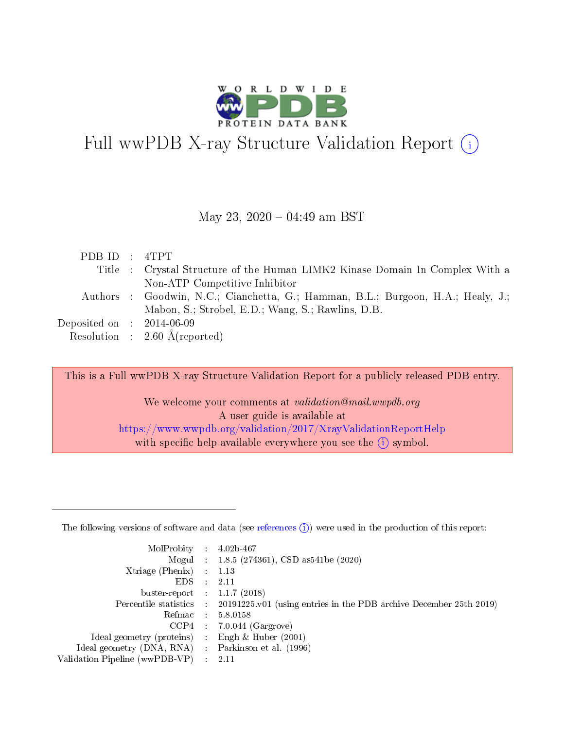

# Full wwPDB X-ray Structure Validation Report  $(i)$

#### May 23, 2020 - 04:49 am BST

| PDBID : 4TPT                |                                                                                  |
|-----------------------------|----------------------------------------------------------------------------------|
|                             | Title : Crystal Structure of the Human LIMK2 Kinase Domain In Complex With a     |
|                             | Non-ATP Competitive Inhibitor                                                    |
|                             | Authors : Goodwin, N.C.; Cianchetta, G.; Hamman, B.L.; Burgoon, H.A.; Healy, J.; |
|                             | Mabon, S.; Strobel, E.D.; Wang, S.; Rawlins, D.B.                                |
| Deposited on : $2014-06-09$ |                                                                                  |
|                             | Resolution : $2.60 \text{ Å}$ (reported)                                         |

This is a Full wwPDB X-ray Structure Validation Report for a publicly released PDB entry.

We welcome your comments at validation@mail.wwpdb.org A user guide is available at <https://www.wwpdb.org/validation/2017/XrayValidationReportHelp> with specific help available everywhere you see the  $(i)$  symbol.

The following versions of software and data (see [references](https://www.wwpdb.org/validation/2017/XrayValidationReportHelp#references)  $(1)$ ) were used in the production of this report:

| MolProbity :                   |               | $4.02b - 467$                                                                |
|--------------------------------|---------------|------------------------------------------------------------------------------|
|                                |               | Mogul : $1.8.5$ (274361), CSD as 541be (2020)                                |
| Xtriage (Phenix)               | $\mathcal{L}$ | 1.13                                                                         |
| EDS.                           |               | 2.11                                                                         |
| buster-report : $1.1.7$ (2018) |               |                                                                              |
| Percentile statistics :        |               | $20191225 \text{ v}01$ (using entries in the PDB archive December 25th 2019) |
| Refmac :                       |               | 5.8.0158                                                                     |
| CCP4                           |               | $7.0.044$ (Gargrove)                                                         |
| Ideal geometry (proteins) :    |               | Engh $\&$ Huber (2001)                                                       |
| Ideal geometry (DNA, RNA) :    |               | Parkinson et al. (1996)                                                      |
| Validation Pipeline (wwPDB-VP) | $\mathcal{L}$ | 2.11                                                                         |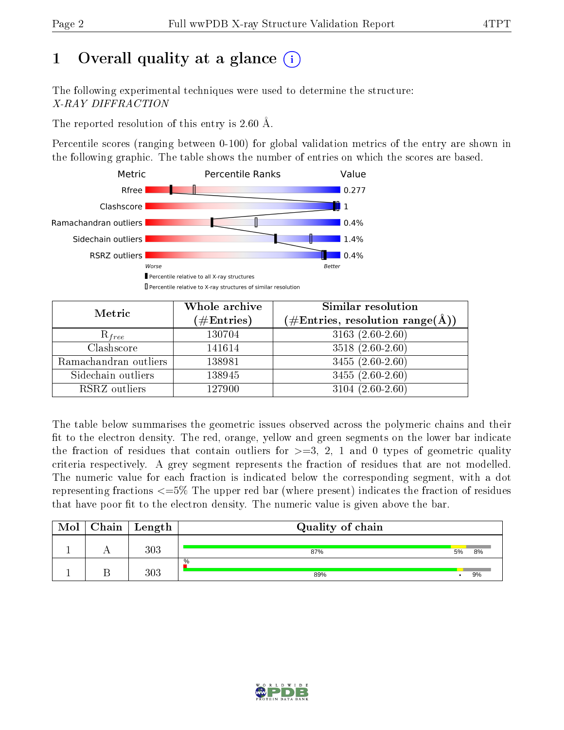# 1 [O](https://www.wwpdb.org/validation/2017/XrayValidationReportHelp#overall_quality)verall quality at a glance  $(i)$

The following experimental techniques were used to determine the structure: X-RAY DIFFRACTION

The reported resolution of this entry is 2.60 Å.

Percentile scores (ranging between 0-100) for global validation metrics of the entry are shown in the following graphic. The table shows the number of entries on which the scores are based.



| Metric                | Whole archive<br>$(\#\text{Entries})$ | Similar resolution<br>$(\#\text{Entries},\,\text{resolution}\,\,\text{range}(\textup{\AA}))$ |  |  |
|-----------------------|---------------------------------------|----------------------------------------------------------------------------------------------|--|--|
| $R_{free}$            | 130704                                | $3163(2.60-2.60)$                                                                            |  |  |
| Clashscore            | 141614                                | $3518(2.60-2.60)$                                                                            |  |  |
| Ramachandran outliers | 138981                                | $3455(2.60-2.60)$                                                                            |  |  |
| Sidechain outliers    | 138945                                | $3455(2.60-2.60)$                                                                            |  |  |
| RSRZ outliers         | 127900                                | $3104(2.60-2.60)$                                                                            |  |  |

The table below summarises the geometric issues observed across the polymeric chains and their fit to the electron density. The red, orange, yellow and green segments on the lower bar indicate the fraction of residues that contain outliers for  $>=3, 2, 1$  and 0 types of geometric quality criteria respectively. A grey segment represents the fraction of residues that are not modelled. The numeric value for each fraction is indicated below the corresponding segment, with a dot representing fractions <=5% The upper red bar (where present) indicates the fraction of residues that have poor fit to the electron density. The numeric value is given above the bar.

| Mol | ${\bf Chain \mid Length}$ | Quality of chain |    |    |
|-----|---------------------------|------------------|----|----|
|     | $303\,$                   | 87%              | 5% | 8% |
|     | 303                       | $\%$<br>89%      |    | 9% |

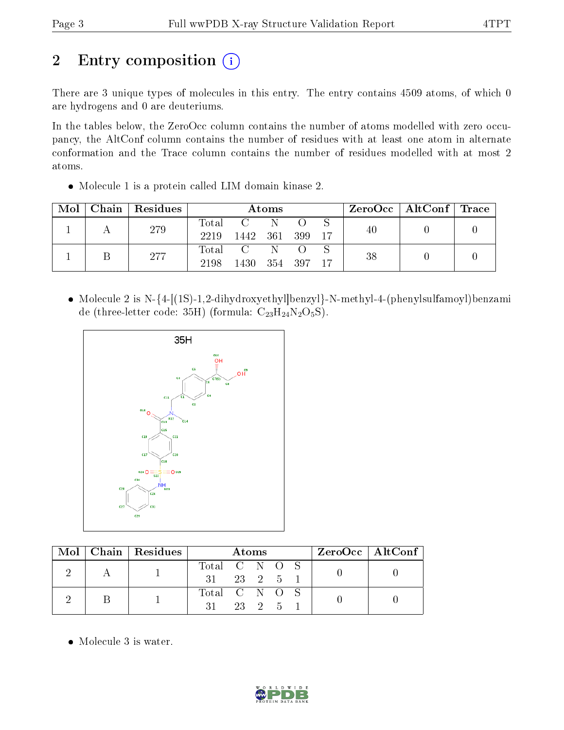# 2 Entry composition (i)

There are 3 unique types of molecules in this entry. The entry contains 4509 atoms, of which 0 are hydrogens and 0 are deuteriums.

In the tables below, the ZeroOcc column contains the number of atoms modelled with zero occupancy, the AltConf column contains the number of residues with at least one atom in alternate conformation and the Trace column contains the number of residues modelled with at most 2 atoms.

Molecule 1 is a protein called LIM domain kinase 2.

| Mol | Chain   Residues | Atoms         |                                                      |     |  |       | $\rm ZeroOcc \mid AltConf \mid Trace$ |  |  |
|-----|------------------|---------------|------------------------------------------------------|-----|--|-------|---------------------------------------|--|--|
|     | 279              | Total<br>2219 | 1442 361 399                                         |     |  | $-17$ | 40                                    |  |  |
|     | 277              | Total<br>2198 | $\overline{C}$ and $\overline{C}$<br>1430 354 397 17 | - N |  |       | 38                                    |  |  |

• Molecule 2 is N-{4-[(1S)-1,2-dihydroxyethyl|benzyl}-N-methyl-4-(phenylsulfamoyl)benzami de (three-letter code: 35H) (formula:  $C_{23}H_{24}N_2O_5S$ ).



|  | Mol   Chain   Residues | Atoms                 |        |  |  | $ZeroOcc \   \$ AltConf |  |  |
|--|------------------------|-----------------------|--------|--|--|-------------------------|--|--|
|  |                        | Total C N O S         |        |  |  |                         |  |  |
|  |                        | $31$ $23$ $2$ $5$ $1$ |        |  |  |                         |  |  |
|  |                        | Total C N O S         |        |  |  |                         |  |  |
|  |                        | 31.                   | 23 2 5 |  |  |                         |  |  |

Molecule 3 is water.

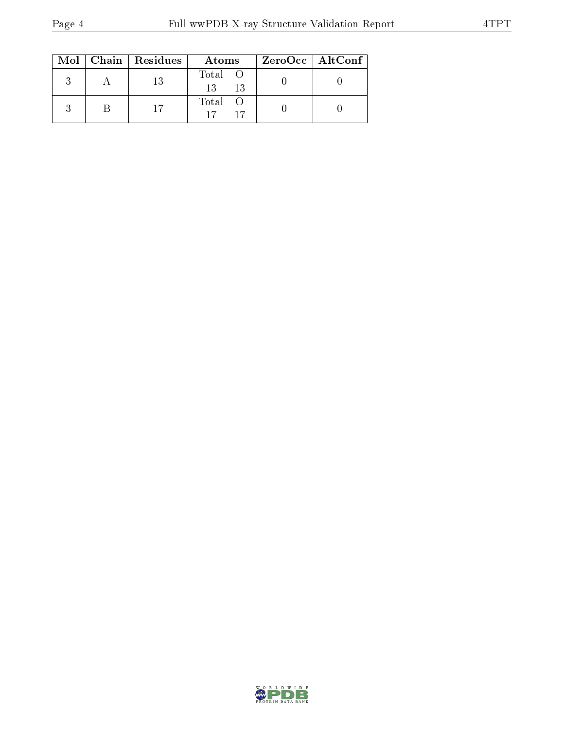|  | $Mol$   Chain   Residues | Atoms                | ZeroOcc   AltConf |  |
|--|--------------------------|----------------------|-------------------|--|
|  | 13                       | Total O<br>13<br>-13 |                   |  |
|  |                          | Total                |                   |  |

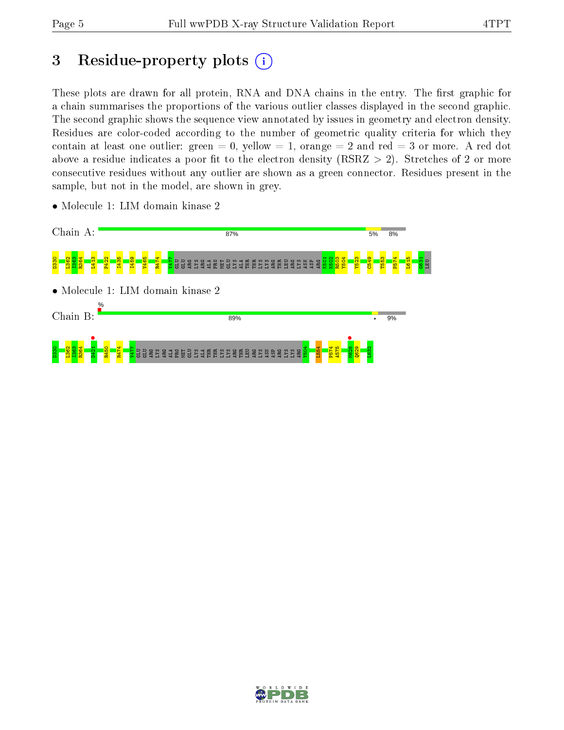# 3 Residue-property plots  $(i)$

These plots are drawn for all protein, RNA and DNA chains in the entry. The first graphic for a chain summarises the proportions of the various outlier classes displayed in the second graphic. The second graphic shows the sequence view annotated by issues in geometry and electron density. Residues are color-coded according to the number of geometric quality criteria for which they contain at least one outlier: green  $= 0$ , yellow  $= 1$ , orange  $= 2$  and red  $= 3$  or more. A red dot above a residue indicates a poor fit to the electron density (RSRZ  $> 2$ ). Stretches of 2 or more consecutive residues without any outlier are shown as a green connector. Residues present in the sample, but not in the model, are shown in grey.



• Molecule 1: LIM domain kinase 2

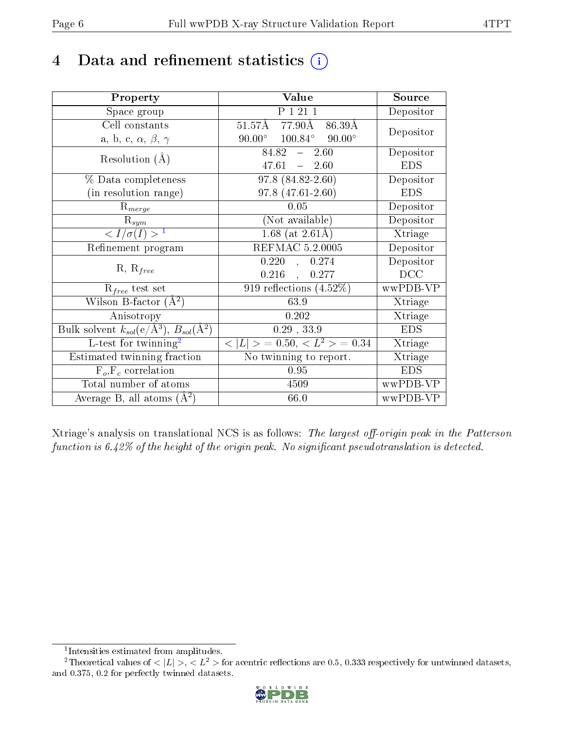## 4 Data and refinement statistics  $(i)$

| Property                                                                | Value                                               | Source     |
|-------------------------------------------------------------------------|-----------------------------------------------------|------------|
| Space group                                                             | P 1 21 1                                            | Depositor  |
| Cell constants                                                          | $51.57\text{\AA}$ 77.90Å<br>86.39Å                  | Depositor  |
| a, b, c, $\alpha$ , $\beta$ , $\gamma$                                  | $90.00^{\circ}$ $100.84^{\circ}$<br>$90.00^{\circ}$ |            |
| Resolution $(A)$                                                        | $84.82 - 2.60$                                      | Depositor  |
|                                                                         | $47.61 = 2.60$                                      | <b>EDS</b> |
| % Data completeness                                                     | 97.8 (84.82-2.60)                                   | Depositor  |
| (in resolution range)                                                   | $97.8(47.61 - 2.60)$                                | <b>EDS</b> |
| $R_{merge}$                                                             | 0.05                                                | Depositor  |
| $\mathrm{R}_{sym}$                                                      | (Not available)                                     | Depositor  |
| $\langle I/\sigma(I) \rangle^{-1}$                                      | 1.68 (at $2.61\text{\AA})$                          | Xtriage    |
| Refinement program                                                      | <b>REFMAC 5.2.0005</b>                              | Depositor  |
|                                                                         | 0.220<br>0.274<br>$\mathbf{A}$                      | Depositor  |
| $R, R_{free}$                                                           | $0.216$ ,<br>0.277                                  | DCC        |
| $\mathcal{R}_{free}$ test set                                           | 919 reflections $(4.52\%)$                          | wwPDB-VP   |
| Wilson B-factor $(A^2)$                                                 | 63.9                                                | Xtriage    |
| Anisotropy                                                              | 0.202                                               | Xtriage    |
| Bulk solvent $k_{sol}(\mathrm{e}/\mathrm{A}^3),\,B_{sol}(\mathrm{A}^2)$ | $0.29$ , $33.9$                                     | <b>EDS</b> |
| L-test for twinning <sup>2</sup>                                        | $< L >$ = 0.50, $< L^2 >$ = 0.34                    | Xtriage    |
| Estimated twinning fraction                                             | No twinning to report.                              | Xtriage    |
| $F_o, F_c$ correlation                                                  | 0.95                                                | <b>EDS</b> |
| Total number of atoms                                                   | 4509                                                | wwPDB-VP   |
| Average B, all atoms $(A^2)$                                            | 66.0                                                | wwPDB-VP   |

Xtriage's analysis on translational NCS is as follows: The largest off-origin peak in the Patterson function is  $6.42\%$  of the height of the origin peak. No significant pseudotranslation is detected.

<sup>&</sup>lt;sup>2</sup>Theoretical values of  $\langle |L| \rangle$ ,  $\langle L^2 \rangle$  for acentric reflections are 0.5, 0.333 respectively for untwinned datasets, and 0.375, 0.2 for perfectly twinned datasets.



<span id="page-5-1"></span><span id="page-5-0"></span><sup>1</sup> Intensities estimated from amplitudes.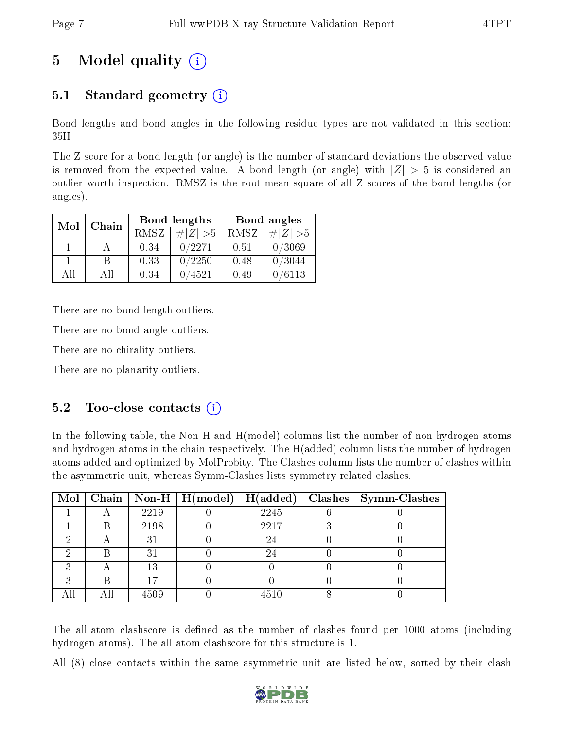# 5 Model quality  $(i)$

### 5.1 Standard geometry (i)

Bond lengths and bond angles in the following residue types are not validated in this section: 35H

The Z score for a bond length (or angle) is the number of standard deviations the observed value is removed from the expected value. A bond length (or angle) with  $|Z| > 5$  is considered an outlier worth inspection. RMSZ is the root-mean-square of all Z scores of the bond lengths (or angles).

| Mol | Chain |             | Bond lengths | Bond angles |             |  |
|-----|-------|-------------|--------------|-------------|-------------|--|
|     |       | <b>RMSZ</b> | $\# Z  > 5$  | RMSZ        | $\ Z\  > 5$ |  |
|     |       | 0.34        | 0/2271       | 0.51        | 0/3069      |  |
|     | R     | 0.33        | 0/2250       | 0.48        | 0/3044      |  |
| AH  | АH    | 0.34        | 4521         | 0.49        | 0/6113      |  |

There are no bond length outliers.

There are no bond angle outliers.

There are no chirality outliers.

There are no planarity outliers.

### $5.2$  Too-close contacts  $(i)$

In the following table, the Non-H and H(model) columns list the number of non-hydrogen atoms and hydrogen atoms in the chain respectively. The H(added) column lists the number of hydrogen atoms added and optimized by MolProbity. The Clashes column lists the number of clashes within the asymmetric unit, whereas Symm-Clashes lists symmetry related clashes.

|   |   |      | Mol   Chain   Non-H   H(model)   H(added) |      | $\vert$ Clashes $\vert$ Symm-Clashes |
|---|---|------|-------------------------------------------|------|--------------------------------------|
|   |   | 2219 |                                           | 2245 |                                      |
|   | В | 2198 |                                           | 2217 |                                      |
|   |   | 31   |                                           | 24   |                                      |
|   |   | 31   |                                           | 24   |                                      |
|   |   | 13   |                                           |      |                                      |
| ച |   |      |                                           |      |                                      |
|   |   | 4509 |                                           | 4510 |                                      |

The all-atom clashscore is defined as the number of clashes found per 1000 atoms (including hydrogen atoms). The all-atom clashscore for this structure is 1.

All (8) close contacts within the same asymmetric unit are listed below, sorted by their clash

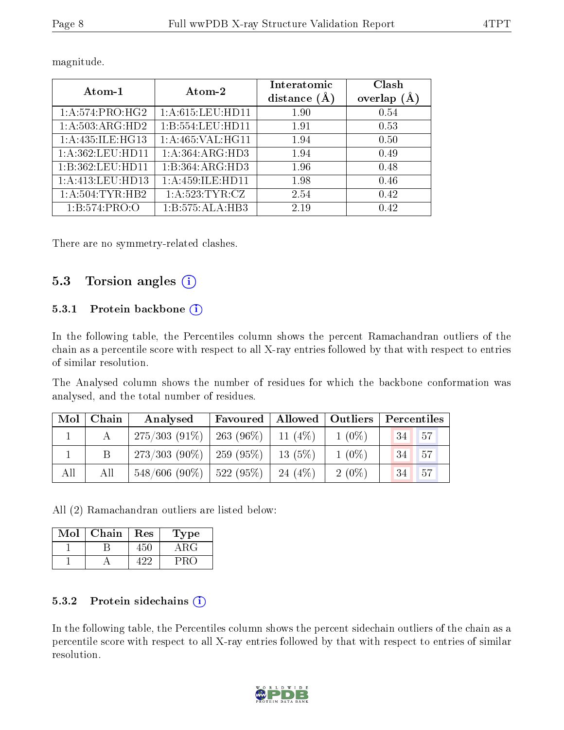| Atom-1                       | Atom-2               | Interatomic<br>distance $(A)$ | Clash<br>overlap (Å |  |
|------------------------------|----------------------|-------------------------------|---------------------|--|
| $1:A:574:PRO:\overline{HG2}$ | 1: A: 615: LEU: HD11 | 1.90                          | 0.54                |  |
| 1:A:503:ARG:HD2              | 1:B:554:LEU:HD11     | 1.91                          | 0.53                |  |
| 1:A:435:ILE:HG13             | 1: A:465: VAL:HGI1   | 1.94                          | 0.50                |  |
| 1:A:362:LEU:HD11             | 1:A:364:ARG:HD3      | 1.94                          | 0.49                |  |
| 1:B:362:LEU:HD11             | 1:B:364:ARG:HD3      | 1.96                          | 0.48                |  |
| 1:A:413:LEU:HD13             | 1: A: 459: ILE: HD11 | 1.98                          | 0.46                |  |
| 1: A:504:TYR:HB2             | 1:A:523:TYR:CZ       | 2.54                          | 0.42                |  |
| 1:B:574:PRO:O                | 1:B:575:ALA:HB3      | 2.19                          | 0.42                |  |

magnitude.

There are no symmetry-related clashes.

### 5.3 Torsion angles (i)

#### 5.3.1 Protein backbone  $(i)$

In the following table, the Percentiles column shows the percent Ramachandran outliers of the chain as a percentile score with respect to all X-ray entries followed by that with respect to entries of similar resolution.

The Analysed column shows the number of residues for which the backbone conformation was analysed, and the total number of residues.

| $\text{Mol}$ | $\mid$ Chain | Favoured<br>Analysed          |           | Allowed   Outliers |          | Percentiles |     |
|--------------|--------------|-------------------------------|-----------|--------------------|----------|-------------|-----|
|              |              | $275/303(91\%)$               | 263 (96%) | $11(4\%)$          | $1(0\%)$ | 34          | 57  |
|              |              | $273/303(90\%)$ 259 (95\%)    |           | $13(5\%)$          | $1(0\%)$ | 34          | 157 |
| All          | All          | $548/606$ (90\%)   522 (95\%) |           | $24(4\%)$          | $2(0\%)$ | 34          | 57  |

All (2) Ramachandran outliers are listed below:

| Mol | Chain | Res | Type  |
|-----|-------|-----|-------|
|     |       |     | A R G |
|     |       |     |       |

#### 5.3.2 Protein sidechains (i)

In the following table, the Percentiles column shows the percent sidechain outliers of the chain as a percentile score with respect to all X-ray entries followed by that with respect to entries of similar resolution.

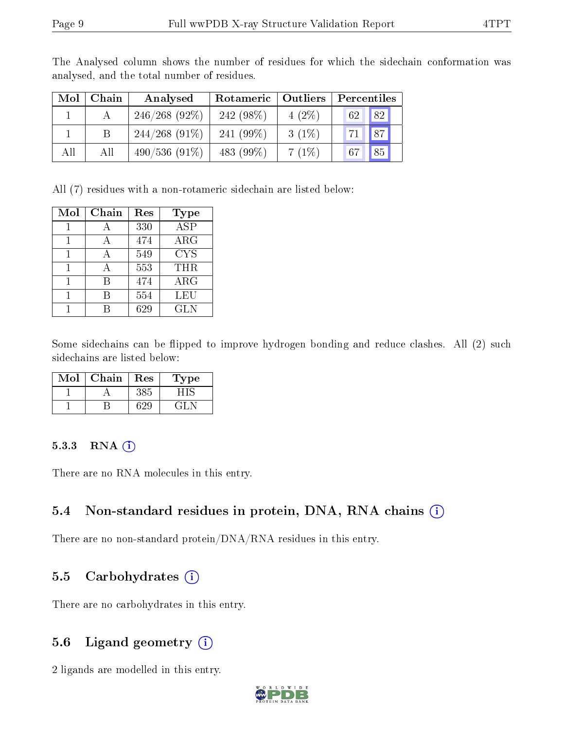| Mol | Chain | Analysed        | Rotameric   Outliers |          | Percentiles |
|-----|-------|-----------------|----------------------|----------|-------------|
|     |       | $246/268(92\%)$ | 242 $(98\%)$         | $4(2\%)$ | 62 82       |
|     |       | $244/268(91\%)$ | 241 $(99\%)$         | $3(1\%)$ | 71   87     |
| All | All   | $490/536(91\%)$ | 483 $(99\%)$         | 7(1%)    | 67 85       |

The Analysed column shows the number of residues for which the sidechain conformation was analysed, and the total number of residues.

All (7) residues with a non-rotameric sidechain are listed below:

| Mol | Chain | Res | Type                    |
|-----|-------|-----|-------------------------|
|     |       | 330 | $\overline{\text{ASP}}$ |
|     |       | 474 | ARG                     |
|     |       | 549 | <b>CYS</b>              |
|     |       | 553 | THR                     |
|     | В     | 474 | ARG                     |
|     |       | 554 | LEU                     |
|     |       | 629 | <b>GLN</b>              |

Some sidechains can be flipped to improve hydrogen bonding and reduce clashes. All (2) such sidechains are listed below:

| Mol | Chain | Res | Type |
|-----|-------|-----|------|
|     |       | 385 |      |
|     |       |     |      |

#### 5.3.3 RNA (i)

There are no RNA molecules in this entry.

### 5.4 Non-standard residues in protein, DNA, RNA chains (i)

There are no non-standard protein/DNA/RNA residues in this entry.

### 5.5 Carbohydrates (i)

There are no carbohydrates in this entry.

### 5.6 Ligand geometry (i)

2 ligands are modelled in this entry.

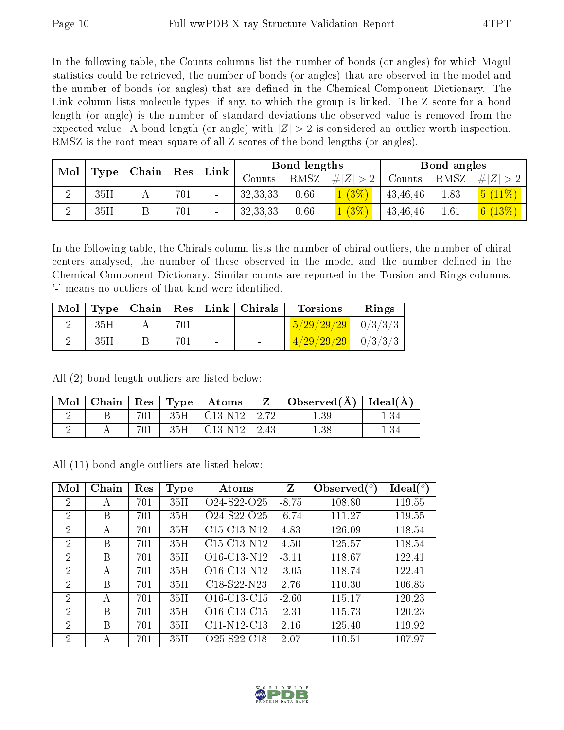In the following table, the Counts columns list the number of bonds (or angles) for which Mogul statistics could be retrieved, the number of bonds (or angles) that are observed in the model and the number of bonds (or angles) that are dened in the Chemical Component Dictionary. The Link column lists molecule types, if any, to which the group is linked. The Z score for a bond length (or angle) is the number of standard deviations the observed value is removed from the expected value. A bond length (or angle) with  $|Z| > 2$  is considered an outlier worth inspection. RMSZ is the root-mean-square of all Z scores of the bond lengths (or angles).

| Mol<br>Type |     |  |     |                 |            |      |             |          |      | $\mid$ Chain $\mid$ |  | ${\rm Res}$ | Link |  | Bond lengths |  |  | Bond angles |  |
|-------------|-----|--|-----|-----------------|------------|------|-------------|----------|------|---------------------|--|-------------|------|--|--------------|--|--|-------------|--|
|             |     |  |     |                 | Counts     | RMSZ | # $ Z  > 2$ | Counts   | RMSZ | # Z                 |  |             |      |  |              |  |  |             |  |
|             | 35H |  | 701 |                 | 32, 33, 33 | 0.66 | 1(3%)       | 43,46,46 | 1.83 | $5(11\%)$           |  |             |      |  |              |  |  |             |  |
|             | 35H |  | 701 | $\qquad \qquad$ | 32, 33, 33 | 0.66 | 1(3%)       | 43,46,46 | 1.61 | 6 $(13%)$           |  |             |      |  |              |  |  |             |  |

In the following table, the Chirals column lists the number of chiral outliers, the number of chiral centers analysed, the number of these observed in the model and the number defined in the Chemical Component Dictionary. Similar counts are reported in the Torsion and Rings columns. '-' means no outliers of that kind were identified.

| Mol |     |     |                          | $\top$ Type   Chain   Res   Link   Chirals | <b>Torsions</b>                                                    | Rings |
|-----|-----|-----|--------------------------|--------------------------------------------|--------------------------------------------------------------------|-------|
|     | 35H | 701 | $\sim$                   | <b>Contract Contract Contract</b>          | $15/29/29/29$   0/3/3/3                                            |       |
|     | 35H | 701 | $\overline{\phantom{a}}$ |                                            | $\left( \frac{4/29/29/29}{2} \right) \left( \frac{0}{3/3} \right)$ |       |

All (2) bond length outliers are listed below:

|  |     | $\mid$ Mol $\mid$ Chain $\mid$ Res $\mid$ Type $\mid$ Atoms | $\mathbf{Z}$ | Observed( $\AA$ )   Ideal( $\AA$ ) |  |
|--|-----|-------------------------------------------------------------|--------------|------------------------------------|--|
|  |     | $701$   35H   C13-N12   2.72                                |              | $1.39\,$                           |  |
|  | 701 | $35H$   C13-N12   2.43                                      |              | $1.38\,$                           |  |

All (11) bond angle outliers are listed below:

| Mol                         | Chain | Res | Type | Atoms                                             | Z       | Observed $(^\circ)$ | $\text{Ideal}({}^o)$ |
|-----------------------------|-------|-----|------|---------------------------------------------------|---------|---------------------|----------------------|
| $\overline{2}$              | А     | 701 | 35H  | O <sub>24</sub> -S <sub>22</sub> -O <sub>25</sub> | $-8.75$ | 108.80              | 119.55               |
| $\overline{2}$              | В     | 701 | 35H  | O <sub>24</sub> -S <sub>22</sub> -O <sub>25</sub> | $-6.74$ | 111.27              | 119.55               |
| 2                           | А     | 701 | 35H  | $C15-C13-N12$                                     | 4.83    | 126.09              | 118.54               |
| 2                           | B     | 701 | 35H  | $C15-C13-N12$                                     | 4.50    | 125.57              | 118.54               |
| $\overline{2}$              | B     | 701 | 35H  | O <sub>16</sub> -C <sub>13</sub> -N <sub>12</sub> | $-3.11$ | 118.67              | 122.41               |
| $\mathcal{D}$               | A     | 701 | 35H  | O <sub>16</sub> -C <sub>13</sub> -N <sub>12</sub> | $-3.05$ | 118.74              | 122.41               |
| $\mathcal{D}$               | B     | 701 | 35H  | C18-S22-N23                                       | 2.76    | 110.30              | 106.83               |
| $\mathcal{D}_{\mathcal{A}}$ | А     | 701 | 35H  | O <sub>16</sub> -C <sub>13</sub> -C <sub>15</sub> | $-2.60$ | 115.17              | 120.23               |
| $\overline{2}$              | B     | 701 | 35H  | O <sub>16</sub> -C <sub>13</sub> -C <sub>15</sub> | $-2.31$ | 115.73              | 120.23               |
| $\overline{2}$              | В     | 701 | 35H  | $C11-N12-C13$                                     | 2.16    | 125.40              | 119.92               |
| $\overline{2}$              | А     | 701 | 35H  | O <sub>25</sub> -S <sub>22</sub> -C <sub>18</sub> | 2.07    | 110.51              | 107.97               |

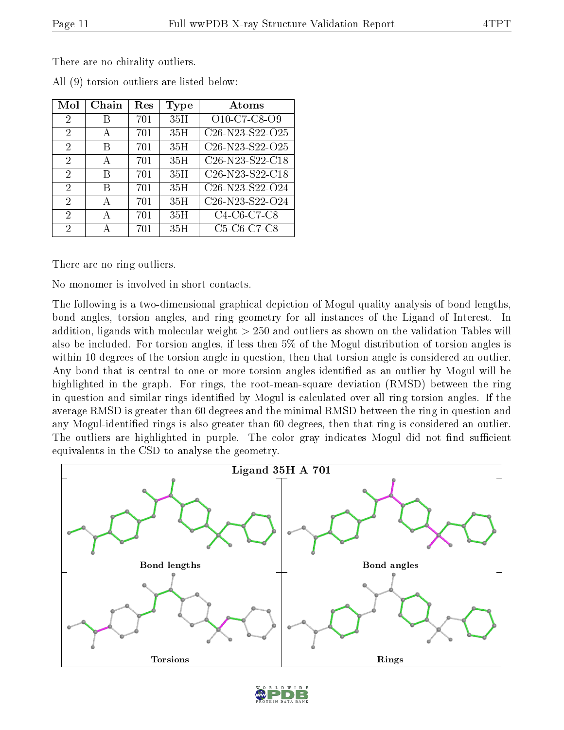There are no chirality outliers.

| Mol                         | Chain | Res | Type | Atoms                                                              |
|-----------------------------|-------|-----|------|--------------------------------------------------------------------|
| $\overline{2}$              | В     | 701 | 35H  | O10-C7-C8-O9                                                       |
| $\mathcal{D}_{\mathcal{A}}$ | А     | 701 | 35H  | C <sub>26</sub> -N <sub>23</sub> -S <sub>22</sub> -O <sub>25</sub> |
| 2                           | B     | 701 | 35H  | C <sub>26</sub> -N <sub>23</sub> -S <sub>22</sub> -O <sub>25</sub> |
| $\mathcal{D}_{\mathcal{A}}$ | А     | 701 | 35H  | C <sub>26</sub> -N <sub>23</sub> -S <sub>22</sub> -C <sub>18</sub> |
| 2                           | R     | 701 | 35H  | $\overline{\text{C26}}$ -N23-S22-C18                               |
| $\mathfrak{D}$              | В     | 701 | 35H  | C <sub>26</sub> -N <sub>23</sub> -S <sub>22</sub> -O <sub>24</sub> |
| $\overline{2}$              | А     | 701 | 35H  | C <sub>26</sub> -N <sub>23</sub> -S <sub>22</sub> -O <sub>24</sub> |
| $\mathcal{D}$               | А     | 701 | 35H  | C4-C6-C7-C8                                                        |
| 2                           |       | 701 | 35H  | C5-C6-C7-C8                                                        |

All (9) torsion outliers are listed below:

There are no ring outliers.

No monomer is involved in short contacts.

The following is a two-dimensional graphical depiction of Mogul quality analysis of bond lengths, bond angles, torsion angles, and ring geometry for all instances of the Ligand of Interest. In addition, ligands with molecular weight > 250 and outliers as shown on the validation Tables will also be included. For torsion angles, if less then 5% of the Mogul distribution of torsion angles is within 10 degrees of the torsion angle in question, then that torsion angle is considered an outlier. Any bond that is central to one or more torsion angles identified as an outlier by Mogul will be highlighted in the graph. For rings, the root-mean-square deviation (RMSD) between the ring in question and similar rings identified by Mogul is calculated over all ring torsion angles. If the average RMSD is greater than 60 degrees and the minimal RMSD between the ring in question and any Mogul-identied rings is also greater than 60 degrees, then that ring is considered an outlier. The outliers are highlighted in purple. The color gray indicates Mogul did not find sufficient equivalents in the CSD to analyse the geometry.



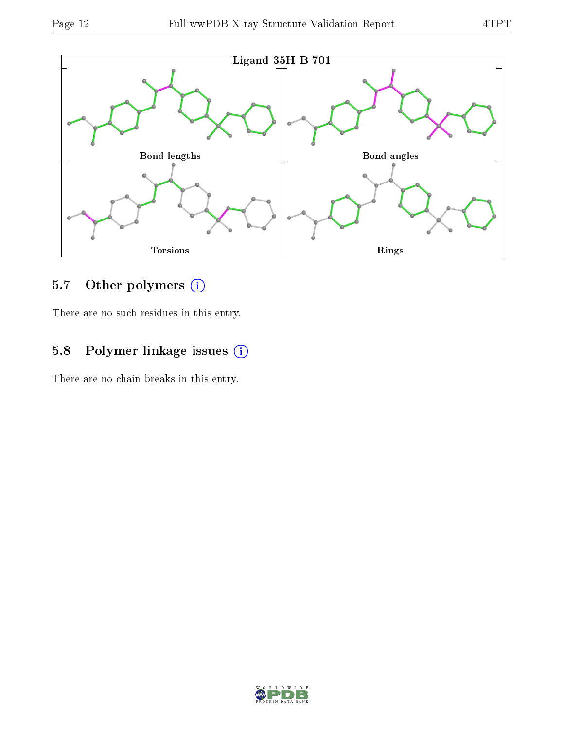

## 5.7 [O](https://www.wwpdb.org/validation/2017/XrayValidationReportHelp#nonstandard_residues_and_ligands)ther polymers (i)

There are no such residues in this entry.

### 5.8 Polymer linkage issues (i)

There are no chain breaks in this entry.

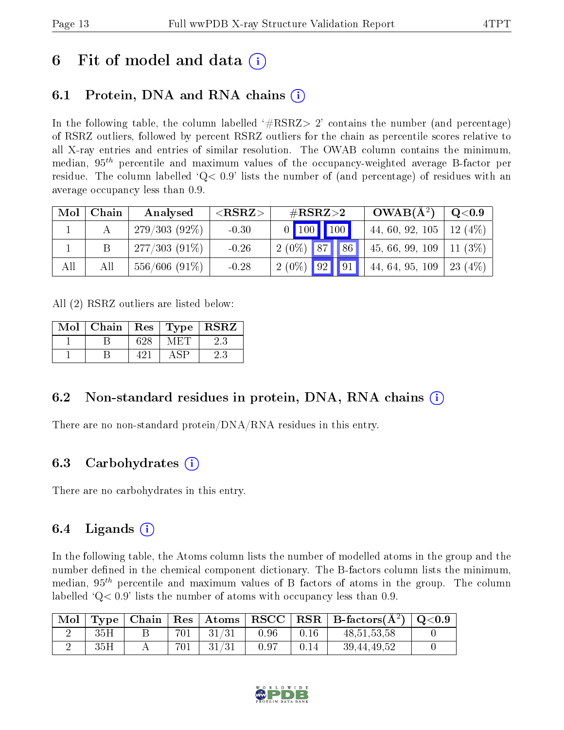## 6 Fit of model and data  $\left( \cdot \right)$

### 6.1 Protein, DNA and RNA chains (i)

In the following table, the column labelled  $#RSRZ>2'$  contains the number (and percentage) of RSRZ outliers, followed by percent RSRZ outliers for the chain as percentile scores relative to all X-ray entries and entries of similar resolution. The OWAB column contains the minimum, median,  $95<sup>th</sup>$  percentile and maximum values of the occupancy-weighted average B-factor per residue. The column labelled  $Q < 0.9$  lists the number of (and percentage) of residues with an average occupancy less than 0.9.

| Mol | Chain | Analysed         | ${ <\hspace{-1.5pt}{\mathrm{RSRZ}} \hspace{-1.5pt}>}$ | $\#\text{RSRZ}\text{>2}$           | $OWAB(A^2)$     | Q <sub>0.9</sub> |
|-----|-------|------------------|-------------------------------------------------------|------------------------------------|-----------------|------------------|
|     |       | $279/303(92\%)$  | $-0.30$                                               | $0$ 100 100                        | 44, 60, 92, 105 | 12(4%)           |
|     |       | $277/303(91\%)$  | $-0.26$                                               | $2(0\%)$ 87<br>$\sqrt{86}$         | 45, 66, 99, 109 | $11(3\%)$        |
| All | All   | $556/606$ (91\%) | $-0.28$                                               | $\mid 2(0\%) \mid 92 \mid 91 \mid$ | 44, 64, 95, 109 | 23 $(4%)$        |

All (2) RSRZ outliers are listed below:

| Mol | Chain | Res | Type | $\bf RSRZ$ |
|-----|-------|-----|------|------------|
|     |       | 628 |      |            |
|     |       | 491 |      |            |

### 6.2 Non-standard residues in protein, DNA, RNA chains  $(i)$

There are no non-standard protein/DNA/RNA residues in this entry.

### 6.3 Carbohydrates (i)

There are no carbohydrates in this entry.

### 6.4 Ligands  $(i)$

In the following table, the Atoms column lists the number of modelled atoms in the group and the number defined in the chemical component dictionary. The B-factors column lists the minimum, median,  $95<sup>th</sup>$  percentile and maximum values of B factors of atoms in the group. The column labelled  $Q< 0.9$ ' lists the number of atoms with occupancy less than 0.9.

| Mol |     |          |          |      |      | $\vert$ Type   Chain   Res   Atoms   RSCC   RSR   B-factors $(A^2)$   Q<0.9 |  |
|-----|-----|----------|----------|------|------|-----------------------------------------------------------------------------|--|
|     | 35H | $-701$ + | $+31/31$ | 0.96 | 0.16 | 48, 51, 53, 58                                                              |  |
|     | 35H | 701      | $-31/31$ | 0.97 | 0.14 | 39,44,49,52                                                                 |  |

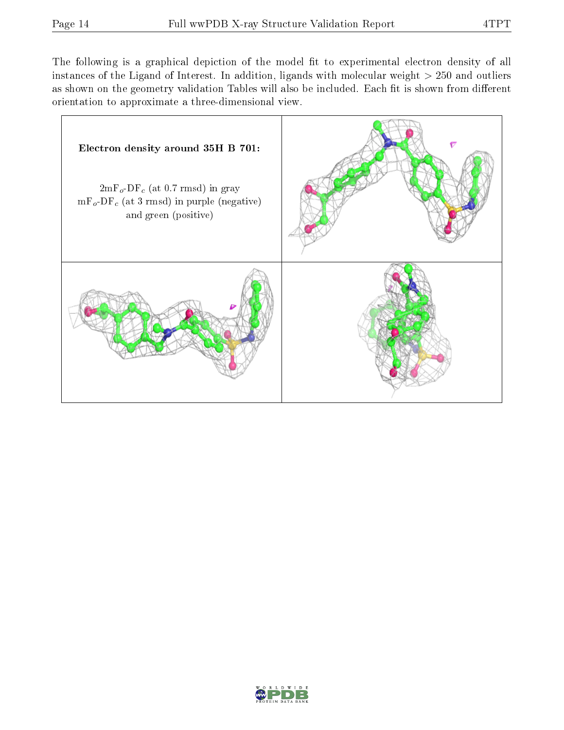The following is a graphical depiction of the model fit to experimental electron density of all instances of the Ligand of Interest. In addition, ligands with molecular weight  $> 250$  and outliers as shown on the geometry validation Tables will also be included. Each fit is shown from different orientation to approximate a three-dimensional view.